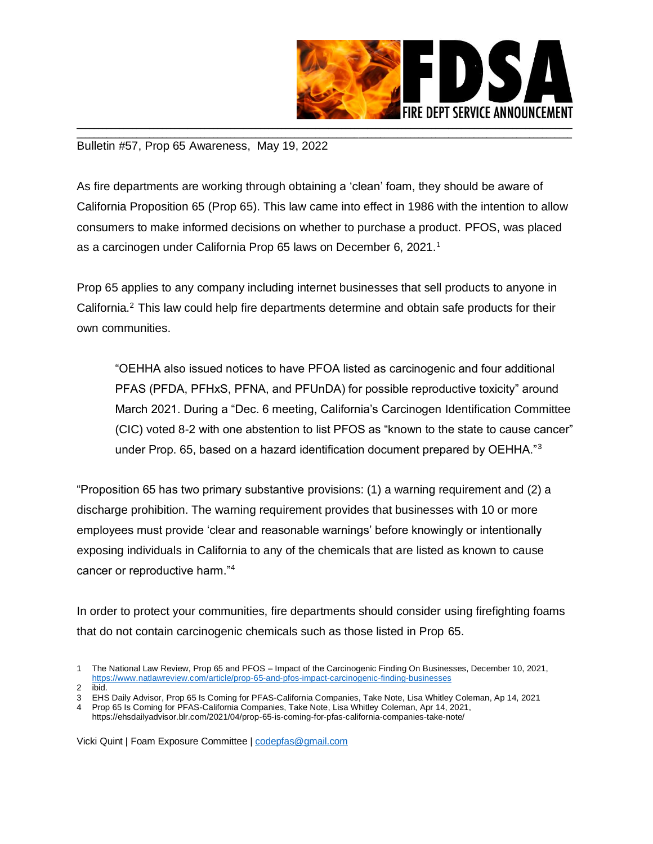

## \_\_\_\_\_\_\_\_\_\_\_\_\_\_\_\_\_\_\_\_\_\_\_\_\_\_\_\_\_\_\_\_\_\_\_\_\_\_\_\_\_\_\_\_\_\_\_\_\_\_\_\_\_\_\_\_\_\_\_\_\_\_\_\_\_\_\_\_\_\_\_\_\_\_\_\_\_\_\_\_\_\_\_\_\_\_\_\_\_\_\_\_\_\_\_\_\_\_\_\_\_\_\_\_\_\_\_\_\_\_\_\_\_\_\_\_ Bulletin #57, Prop 65 Awareness, May 19, 2022

As fire departments are working through obtaining a 'clean' foam, they should be aware of California Proposition 65 (Prop 65). This law came into effect in 1986 with the intention to allow consumers to make informed decisions on whether to purchase a product. PFOS, was placed as a carcinogen under California Prop 65 laws on December 6, 2021.<sup>1</sup>

Prop 65 applies to any company including internet businesses that sell products to anyone in California.<sup>2</sup> This law could help fire departments determine and obtain safe products for their own communities.

"OEHHA also issued notices to have PFOA listed as carcinogenic and four additional PFAS (PFDA, PFHxS, PFNA, and PFUnDA) for possible reproductive toxicity" around March 2021. During a "Dec. 6 meeting, California's Carcinogen Identification Committee (CIC) voted 8-2 with one abstention to list PFOS as "known to the state to cause cancer" under Prop. 65, based on a hazard identification document prepared by OEHHA."<sup>3</sup>

"Proposition 65 has two primary substantive provisions: (1) a warning requirement and (2) a discharge prohibition. The warning requirement provides that businesses with 10 or more employees must provide 'clear and reasonable warnings' before knowingly or intentionally exposing individuals in California to any of the chemicals that are listed as known to cause cancer or reproductive harm."<sup>4</sup>

In order to protect your communities, fire departments should consider using firefighting foams that do not contain carcinogenic chemicals such as those listed in Prop 65.

Vicki Quint | Foam Exposure Committee | [codepfas@gmail.com](mailto:codepfas@gmail.com)

<sup>1</sup> The National Law Review, Prop 65 and PFOS – Impact of the Carcinogenic Finding On Businesses, December 10, 2021, <https://www.natlawreview.com/article/prop-65-and-pfos-impact-carcinogenic-finding-businesses>

<sup>2</sup> ibid.

<sup>3</sup> EHS Daily Advisor, Prop 65 Is Coming for PFAS-California Companies, Take Note, Lisa Whitley Coleman, Ap 14, 2021

<sup>4</sup> Prop 65 Is Coming for PFAS-California Companies, Take Note, Lisa Whitley Coleman, Apr 14, 2021, https://ehsdailyadvisor.blr.com/2021/04/prop-65-is-coming-for-pfas-california-companies-take-note/